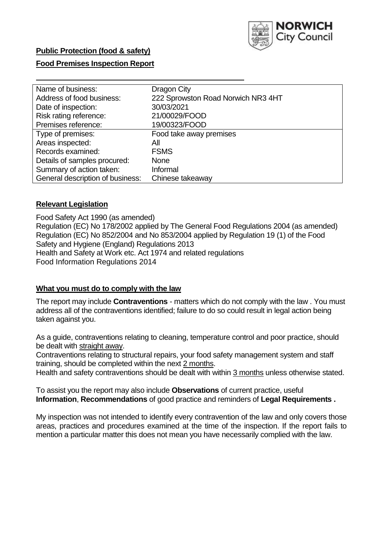

# **Food Premises Inspection Report**

| Name of business:                | Dragon City                        |
|----------------------------------|------------------------------------|
| Address of food business:        | 222 Sprowston Road Norwich NR3 4HT |
| Date of inspection:              | 30/03/2021                         |
| Risk rating reference:           | 21/00029/FOOD                      |
| Premises reference:              | 19/00323/FOOD                      |
| Type of premises:                | Food take away premises            |
| Areas inspected:                 | All                                |
| Records examined:                | <b>FSMS</b>                        |
| Details of samples procured:     | None                               |
| Summary of action taken:         | Informal                           |
| General description of business: | Chinese takeaway                   |

### **Relevant Legislation**

 Food Safety Act 1990 (as amended) Regulation (EC) No 178/2002 applied by The General Food Regulations 2004 (as amended) Regulation (EC) No 852/2004 and No 853/2004 applied by Regulation 19 (1) of the Food Safety and Hygiene (England) Regulations 2013 Health and Safety at Work etc. Act 1974 and related regulations Food Information Regulations 2014

#### **What you must do to comply with the law**

 The report may include **Contraventions** - matters which do not comply with the law . You must address all of the contraventions identified; failure to do so could result in legal action being taken against you.

 As a guide, contraventions relating to cleaning, temperature control and poor practice, should be dealt with straight away.

 Contraventions relating to structural repairs, your food safety management system and staff training, should be completed within the next 2 months.

Health and safety contraventions should be dealt with within 3 months unless otherwise stated.

 To assist you the report may also include **Observations** of current practice, useful **Information**, **Recommendations** of good practice and reminders of **Legal Requirements .** 

 My inspection was not intended to identify every contravention of the law and only covers those areas, practices and procedures examined at the time of the inspection. If the report fails to mention a particular matter this does not mean you have necessarily complied with the law.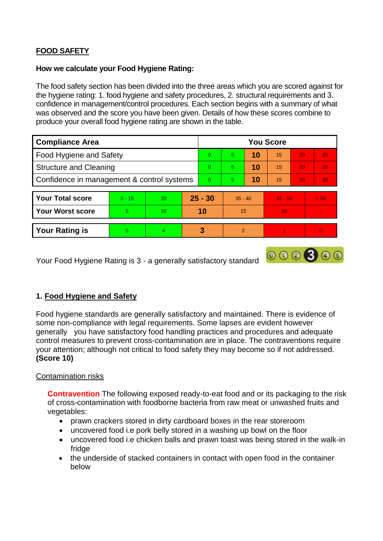# **FOOD SAFETY**

#### **How we calculate your Food Hygiene Rating:**

 The food safety section has been divided into the three areas which you are scored against for the hygiene rating: 1. food hygiene and safety procedures, 2. structural requirements and 3. confidence in management/control procedures. Each section begins with a summary of what was observed and the score you have been given. Details of how these scores combine to produce your overall food hygiene rating are shown in the table.

| <b>Compliance Area</b>                     |          |                  |           | <b>You Score</b> |               |    |           |                 |          |  |  |
|--------------------------------------------|----------|------------------|-----------|------------------|---------------|----|-----------|-----------------|----------|--|--|
| Food Hygiene and Safety                    |          |                  |           | $\Omega$         | 5             | 10 | 15        | 20              | 25       |  |  |
| <b>Structure and Cleaning</b>              |          |                  | $\Omega$  | 5                | 10            | 15 | 20        | 25              |          |  |  |
| Confidence in management & control systems |          |                  | $\Omega$  | 5                | 10            | 15 | 20        | 30 <sup>°</sup> |          |  |  |
|                                            |          |                  |           |                  |               |    |           |                 |          |  |  |
| <b>Your Total score</b>                    | $0 - 15$ | 20               | $25 - 30$ |                  | $35 - 40$     |    | $45 - 50$ |                 | > 50     |  |  |
| <b>Your Worst score</b>                    | 5        | 10 <sup>10</sup> | 10        |                  | 15            |    | 20        |                 |          |  |  |
|                                            |          |                  |           |                  |               |    |           |                 |          |  |  |
| <b>Your Rating is</b>                      | 5        | $\overline{4}$   |           | 3                | $\mathcal{P}$ |    |           |                 | $\Omega$ |  |  |

Your Food Hygiene Rating is 3 - a generally satisfactory standard

# **1. Food Hygiene and Safety**

 generally you have satisfactory food handling practices and procedures and adequate Food hygiene standards are generally satisfactory and maintained. There is evidence of some non-compliance with legal requirements. Some lapses are evident however control measures to prevent cross-contamination are in place. The contraventions require your attention; although not critical to food safety they may become so if not addressed. **(Score 10)** 

 $000000$ 

### Contamination risks

 of cross-contamination with foodborne bacteria from raw meat or unwashed fruits and **Contravention** The following exposed ready-to-eat food and or its packaging to the risk vegetables:

- prawn crackers stored in dirty cardboard boxes in the rear storeroom
- uncovered food i.e pork belly stored in a washing up bowl on the floor
- uncovered food i.e chicken balls and prawn toast was being stored in the walk-in fridge
- the underside of stacked containers in contact with open food in the container below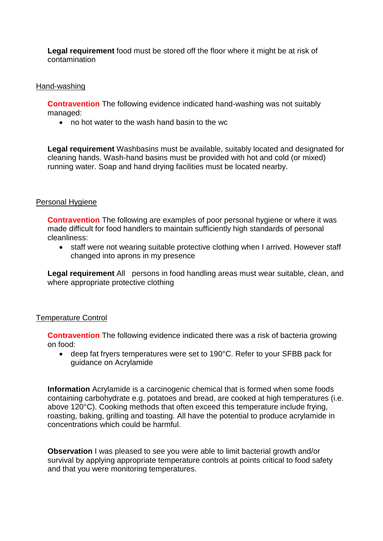**Legal requirement** food must be stored off the floor where it might be at risk of contamination

#### Hand-washing

**Contravention** The following evidence indicated hand-washing was not suitably managed:

no hot water to the wash hand basin to the wc

 **Legal requirement** Washbasins must be available, suitably located and designated for cleaning hands. Wash-hand basins must be provided with hot and cold (or mixed) running water. Soap and hand drying facilities must be located nearby.

#### Personal Hygiene

 made difficult for food handlers to maintain sufficiently high standards of personal **Contravention** The following are examples of poor personal hygiene or where it was cleanliness:

• staff were not wearing suitable protective clothing when I arrived. However staff changed into aprons in my presence

Legal requirement All persons in food handling areas must wear suitable, clean, and where appropriate protective clothing

#### Temperature Control

**Contravention** The following evidence indicated there was a risk of bacteria growing on food:

 guidance on Acrylamide deep fat fryers temperatures were set to 190°C. Refer to your SFBB pack for

**Information** Acrylamide is a carcinogenic chemical that is formed when some foods containing carbohydrate e.g. potatoes and bread, are cooked at high temperatures (i.e. above 120°C). Cooking methods that often exceed this temperature include frying, roasting, baking, grilling and toasting. All have the potential to produce acrylamide in concentrations which could be harmful.

 survival by applying appropriate temperature controls at points critical to food safety **Observation** I was pleased to see you were able to limit bacterial growth and/or and that you were monitoring temperatures.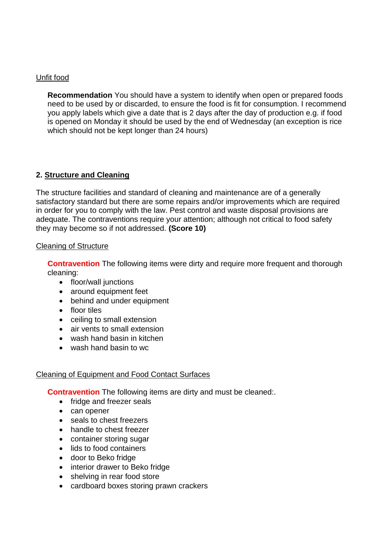# Unfit food

 need to be used by or discarded, to ensure the food is fit for consumption. I recommend you apply labels which give a date that is 2 days after the day of production e.g. if food **Recommendation** You should have a system to identify when open or prepared foods is opened on Monday it should be used by the end of Wednesday (an exception is rice which should not be kept longer than 24 hours)

# **2. Structure and Cleaning**

 The structure facilities and standard of cleaning and maintenance are of a generally adequate. The contraventions require your attention; although not critical to food safety satisfactory standard but there are some repairs and/or improvements which are required in order for you to comply with the law. Pest control and waste disposal provisions are they may become so if not addressed. **(Score 10)** 

### Cleaning of Structure

**Contravention** The following items were dirty and require more frequent and thorough cleaning:

- floor/wall junctions
- around equipment feet
- behind and under equipment
- floor tiles
- ceiling to small extension
- air vents to small extension
- wash hand basin in kitchen
- wash hand basin to wc

# Cleaning of Equipment and Food Contact Surfaces

**Contravention** The following items are dirty and must be cleaned:.

- fridge and freezer seals
- can opener
- seals to chest freezers
- handle to chest freezer
- container storing sugar
- lids to food containers
- door to Beko fridge
- interior drawer to Beko fridge
- shelving in rear food store
- cardboard boxes storing prawn crackers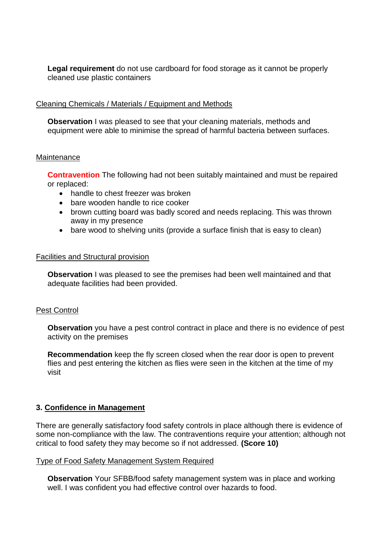**Legal requirement** do not use cardboard for food storage as it cannot be properly cleaned use plastic containers

### Cleaning Chemicals / Materials / Equipment and Methods

**Observation** I was pleased to see that your cleaning materials, methods and equipment were able to minimise the spread of harmful bacteria between surfaces.

#### **Maintenance**

**Contravention** The following had not been suitably maintained and must be repaired or replaced:

- handle to chest freezer was broken
- bare wooden handle to rice cooker
- brown cutting board was badly scored and needs replacing. This was thrown away in my presence
- bare wood to shelving units (provide a surface finish that is easy to clean)

### Facilities and Structural provision

 **Observation** I was pleased to see the premises had been well maintained and that adequate facilities had been provided.

### Pest Control

 **Observation** you have a pest control contract in place and there is no evidence of pest activity on the premises

**Recommendation** keep the fly screen closed when the rear door is open to prevent flies and pest entering the kitchen as flies were seen in the kitchen at the time of my visit

### **3. Confidence in Management**

There are generally satisfactory food safety controls in place although there is evidence of some non-compliance with the law. The contraventions require your attention; although not critical to food safety they may become so if not addressed. **(Score 10)** 

### Type of Food Safety Management System Required

 well. I was confident you had effective control over hazards to food. **Observation** Your SFBB/food safety management system was in place and working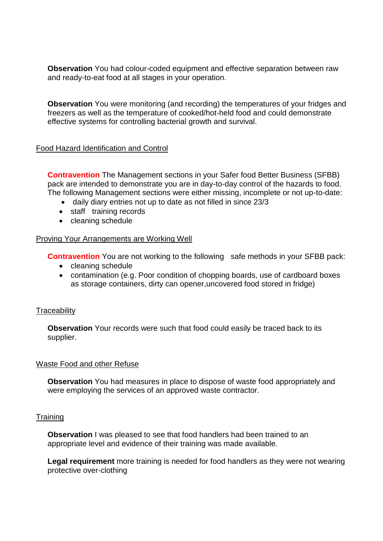**Observation** You had colour-coded equipment and effective separation between raw and ready-to-eat food at all stages in your operation.

**Observation** You were monitoring (and recording) the temperatures of your fridges and freezers as well as the temperature of cooked/hot-held food and could demonstrate effective systems for controlling bacterial growth and survival.

### Food Hazard Identification and Control

 pack are intended to demonstrate you are in day-to-day control of the hazards to food. **Contravention** The Management sections in your Safer food Better Business (SFBB) The following Management sections were either missing, incomplete or not up-to-date:

- daily diary entries not up to date as not filled in since 23/3
- staff training records
- cleaning schedule

### Proving Your Arrangements are Working Well

**Contravention** You are not working to the following safe methods in your SFBB pack:

- cleaning schedule
- contamination (e.g. Poor condition of chopping boards, use of cardboard boxes as storage containers, dirty can opener,uncovered food stored in fridge)

### **Traceability**

**Observation** Your records were such that food could easily be traced back to its supplier.

#### Waste Food and other Refuse

 **Observation** You had measures in place to dispose of waste food appropriately and were employing the services of an approved waste contractor.

### **Training**

 **Observation** I was pleased to see that food handlers had been trained to an appropriate level and evidence of their training was made available.

**Legal requirement** more training is needed for food handlers as they were not wearing protective over-clothing